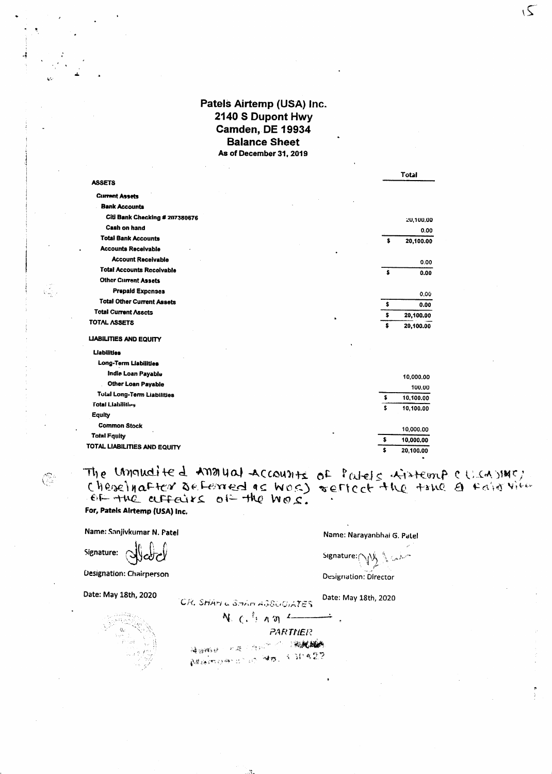## Patels Airtemp (USA) Inc. 2140 S Dupont Hwy Camden, DE 19934 **Balance Sheet** As of December 31, 2019

|                                    |    | Total     |
|------------------------------------|----|-----------|
| <b>ASSETS</b>                      |    |           |
| <b>Current Assets</b>              |    |           |
| <b>Bank Accounts</b>               |    |           |
| Citi Bank Checking # 207380676     |    | 20,100.00 |
| Cash on hand                       |    | 0.00      |
| <b>Total Bank Accounts</b>         | s  | 20,100.00 |
| <b>Accounts Receivable</b>         |    |           |
| <b>Account Receivable</b>          |    | 0.00      |
| <b>Total Accounts Receivable</b>   | ŝ  | 0.00      |
| <b>Other Current Assets</b>        |    |           |
| <b>Prepaid Expenses</b>            |    | 0.00      |
| <b>Total Other Current Assets</b>  | \$ | 0.00      |
| <b>Total Current Asscts</b>        | s  | 20,100.00 |
| TOTAL ASSETS                       | s  | 20,100.00 |
| <b>LIABILITIES AND EQUITY</b>      |    |           |
| <b>Liabilities</b>                 |    |           |
| Long-Term Liabilities              |    |           |
| India Loan Payable                 |    | 10,000.00 |
| <b>Other Loan Payable</b>          |    | 100.00    |
| <b>Total Long-Term Liabilities</b> | s  | 10,100.00 |
| <b>Total Liabilities</b>           | \$ |           |
| Equity                             |    | 10,100.00 |
| <b>Common Stock</b>                |    |           |
| <b>Total Fquity</b>                |    | 10,000.00 |
| TOTAL LIABILITIES AND EQUITY       | \$ | 10,000.00 |
|                                    | \$ | 20,100.00 |

The Unnudited Analyal Accounts of Patels Airtemp eller state. For, Patels Airtemp (USA) Inc.

Name: Sanjivkumar N. Patel

 $\mathbb{Q}$ 

Signature: 3

**Designation: Chairperson** 

Date: May 18th, 2020

Name: Narayanbhai G. Patel

 $\overline{2}$ 

Signature: ∧Ay

Designation: Director

Date: May 18th, 2020

 $N_{c}$   $($ .  $n \pi$ ÷. **PARTNER** 减弱病法 ( ) / 深 / 汽 / ( ) / ( ) / ( ) / ( ) / ( ) / ( ) / ( ) / ( ) / ( ) / ( ) / ( ) / ( ) / ( ) / ( ) MARDONIC NO. 131422

CR. SHAM & SHAM ASSUCIATES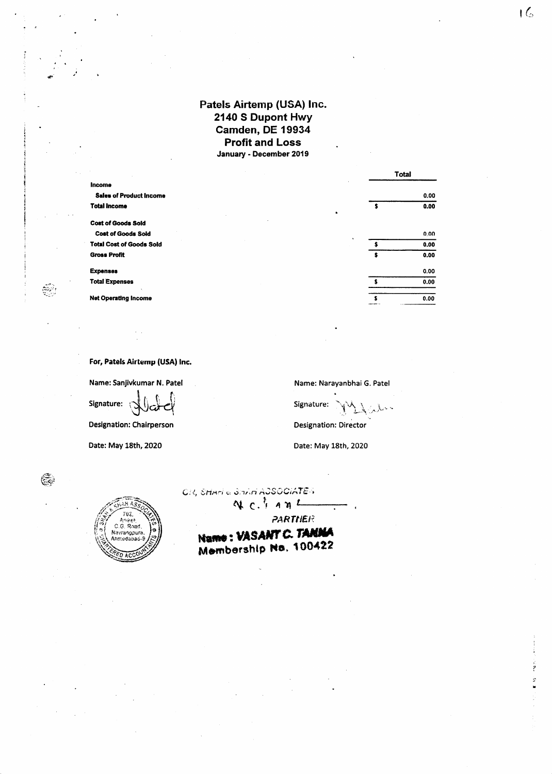## Patels Airtemp (USA) Inc. 2140 S Dupont Hwy Camden, DE 19934 **Profit and Loss** January - December 2019

|                                 |   | <b>Total</b> |
|---------------------------------|---|--------------|
| <b>Income</b>                   |   |              |
| <b>Sales of Product Income</b>  |   | 0.00         |
| <b>Total Income</b>             |   | 0.00         |
| <b>Cost of Goods Sold</b>       |   |              |
| <b>Cost of Goods Sold</b>       | ٠ | 0,00         |
| <b>Total Cost of Goods Sold</b> |   | 0.00         |
| <b>Gross Profit</b>             | s | 0.00         |
| <b>Expenses</b>                 |   | 0.00         |
| <b>Total Expenses</b>           |   | 0.00         |
| <b>Net Operating Income</b>     |   | 0.00         |
|                                 |   |              |

For, Patels Airtemp (USA) Inc.

통

Ć.

Name: Sanjivkumar N. Patel Signature: J لات

**Designation: Chairperson** 

Date: May 18th, 2020

702. nike  $.6. R<sub>0</sub>$ Navranopura **Incedabad** 

Name: Narayanbhai G. Patel

 $\lambda$ 

Signature:

**Designation: Director** 

Date: May 18th, 2020

CII, SHANG STRIN AOSOCIATES

 $N$   $C$ ,  $A$   $N$   $L$ 

PARTNER

Name: VASANT C. TANNA Membership No. 100422

į